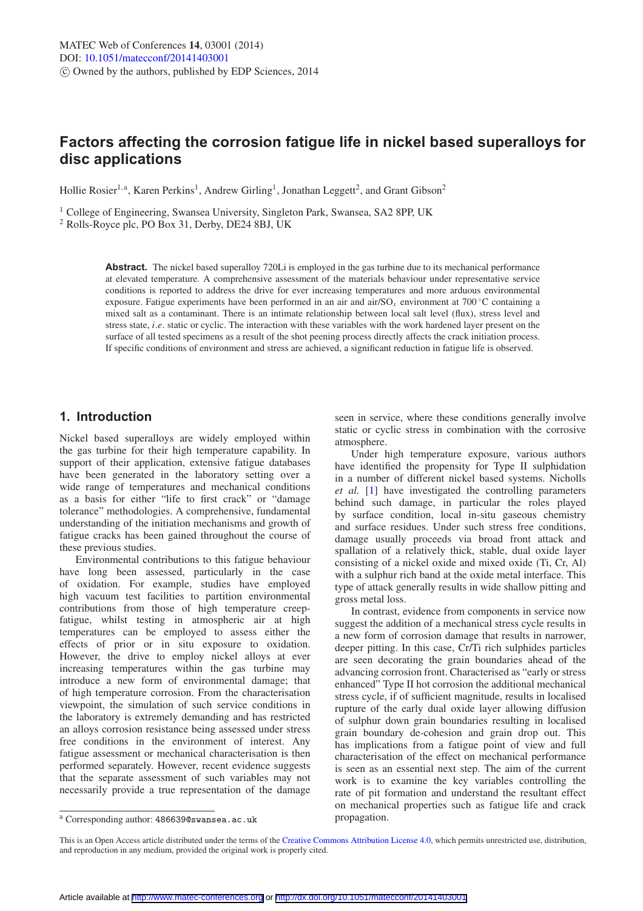# **Factors affecting the corrosion fatigue life in nickel based superalloys for disc applications**

Hollie Rosier<sup>1, a</sup>, Karen Perkins<sup>1</sup>, Andrew Girling<sup>1</sup>, Jonathan Leggett<sup>2</sup>, and Grant Gibson<sup>2</sup>

<sup>1</sup> College of Engineering, Swansea University, Singleton Park, Swansea, SA2 8PP, UK

<sup>2</sup> Rolls-Royce plc, PO Box 31, Derby, DE24 8BJ, UK

**Abstract.** The nickel based superalloy 720Li is employed in the gas turbine due to its mechanical performance at elevated temperature. A comprehensive assessment of the materials behaviour under representative service conditions is reported to address the drive for ever increasing temperatures and more arduous environmental exposure. Fatigue experiments have been performed in an air and air/SO*<sup>x</sup>* environment at 700 ◦C containing a mixed salt as a contaminant. There is an intimate relationship between local salt level (flux), stress level and stress state, *i*.*e*. static or cyclic. The interaction with these variables with the work hardened layer present on the surface of all tested specimens as a result of the shot peening process directly affects the crack initiation process. If specific conditions of environment and stress are achieved, a significant reduction in fatigue life is observed.

## **1. Introduction**

Nickel based superalloys are widely employed within the gas turbine for their high temperature capability. In support of their application, extensive fatigue databases have been generated in the laboratory setting over a wide range of temperatures and mechanical conditions as a basis for either "life to first crack" or "damage tolerance" methodologies. A comprehensive, fundamental understanding of the initiation mechanisms and growth of fatigue cracks has been gained throughout the course of these previous studies.

Environmental contributions to this fatigue behaviour have long been assessed, particularly in the case of oxidation. For example, studies have employed high vacuum test facilities to partition environmental contributions from those of high temperature creepfatigue, whilst testing in atmospheric air at high temperatures can be employed to assess either the effects of prior or in situ exposure to oxidation. However, the drive to employ nickel alloys at ever increasing temperatures within the gas turbine may introduce a new form of environmental damage; that of high temperature corrosion. From the characterisation viewpoint, the simulation of such service conditions in the laboratory is extremely demanding and has restricted an alloys corrosion resistance being assessed under stress free conditions in the environment of interest. Any fatigue assessment or mechanical characterisation is then performed separately. However, recent evidence suggests that the separate assessment of such variables may not necessarily provide a true representation of the damage

seen in service, where these conditions generally involve static or cyclic stress in combination with the corrosive atmosphere.

Under high temperature exposure, various authors have identified the propensity for Type II sulphidation in a number of different nickel based systems. Nicholls *et al.* [\[1](#page-5-0)] have investigated the controlling parameters behind such damage, in particular the roles played by surface condition, local in-situ gaseous chemistry and surface residues. Under such stress free conditions, damage usually proceeds via broad front attack and spallation of a relatively thick, stable, dual oxide layer consisting of a nickel oxide and mixed oxide (Ti, Cr, Al) with a sulphur rich band at the oxide metal interface. This type of attack generally results in wide shallow pitting and gross metal loss.

In contrast, evidence from components in service now suggest the addition of a mechanical stress cycle results in a new form of corrosion damage that results in narrower, deeper pitting. In this case, Cr/Ti rich sulphides particles are seen decorating the grain boundaries ahead of the advancing corrosion front. Characterised as "early or stress enhanced" Type II hot corrosion the additional mechanical stress cycle, if of sufficient magnitude, results in localised rupture of the early dual oxide layer allowing diffusion of sulphur down grain boundaries resulting in localised grain boundary de-cohesion and grain drop out. This has implications from a fatigue point of view and full characterisation of the effect on mechanical performance is seen as an essential next step. The aim of the current work is to examine the key variables controlling the rate of pit formation and understand the resultant effect on mechanical properties such as fatigue life and crack propagation.

<sup>a</sup> Corresponding author: 486639@swansea.ac.uk

This is an Open Access article distributed under the terms of the [Creative Commons Attribution License 4.0,](http://creativecommons.org/licenses/by/4.0/) which permits unrestricted use, distribution, and reproduction in any medium, provided the original work is properly cited.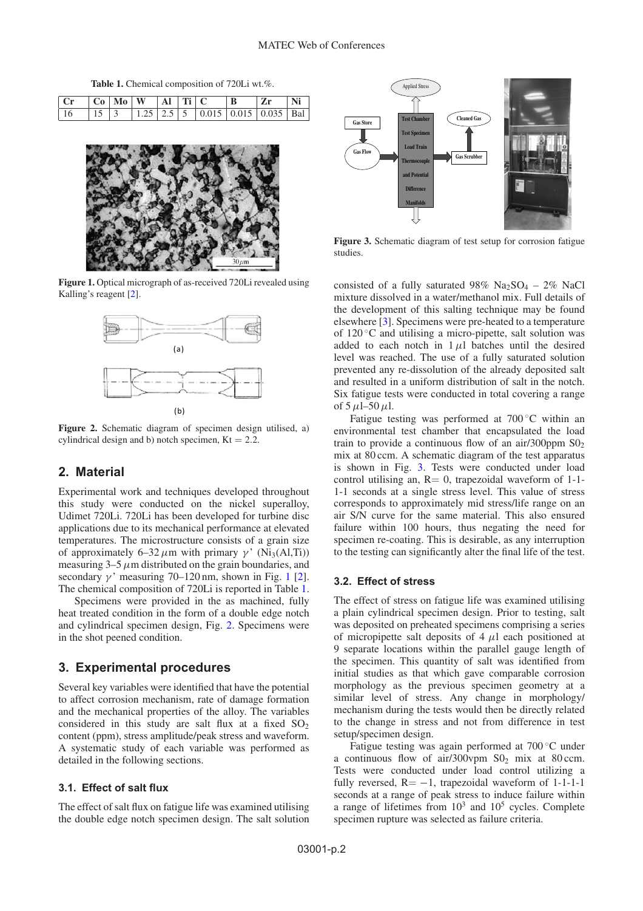**Table 1.** Chemical composition of 720Li wt.%.

<span id="page-1-1"></span>

| $ C_r $ $ C_0 $ $M_0 $ $W$ $ A_l $ $T_l $ $C$              |  |  |  | $ Z_{r} $ | Ni |
|------------------------------------------------------------|--|--|--|-----------|----|
| 16   15   3   1.25   2.5   5   0.015   0.015   0.035   Bal |  |  |  |           |    |

<span id="page-1-0"></span>

**Figure 1.** Optical micrograph of as-received 720Li revealed using Kalling's reagent [\[2](#page-5-1)].

<span id="page-1-2"></span>

**Figure 2.** Schematic diagram of specimen design utilised, a) cylindrical design and b) notch specimen,  $Kt = 2.2$ .

## **2. Material**

Experimental work and techniques developed throughout this study were conducted on the nickel superalloy, Udimet 720Li. 720Li has been developed for turbine disc applications due to its mechanical performance at elevated temperatures. The microstructure consists of a grain size of approximately 6–32  $\mu$ m with primary γ' (Ni<sub>3</sub>(Al,Ti)) measuring  $3-5 \mu m$  distributed on the grain boundaries, and secondary  $\gamma$ ' measuring 70–[1](#page-1-0)20 nm, shown in Fig. 1 [\[2\]](#page-5-1). The chemical composition of 720Li is reported in Table [1.](#page-1-1)

Specimens were provided in the as machined, fully heat treated condition in the form of a double edge notch and cylindrical specimen design, Fig. [2.](#page-1-2) Specimens were in the shot peened condition.

### **3. Experimental procedures**

Several key variables were identified that have the potential to affect corrosion mechanism, rate of damage formation and the mechanical properties of the alloy. The variables considered in this study are salt flux at a fixed  $SO_2$ content (ppm), stress amplitude/peak stress and waveform. A systematic study of each variable was performed as detailed in the following sections.

### **3.1. Effect of salt flux**

The effect of salt flux on fatigue life was examined utilising the double edge notch specimen design. The salt solution

<span id="page-1-3"></span>

**Figure 3.** Schematic diagram of test setup for corrosion fatigue studies.

consisted of a fully saturated 98% Na<sub>2</sub>SO<sub>4</sub> – 2% NaCl mixture dissolved in a water/methanol mix. Full details of the development of this salting technique may be found elsewhere [\[3\]](#page-5-2). Specimens were pre-heated to a temperature of  $120^{\circ}$ C and utilising a micro-pipette, salt solution was added to each notch in  $1 \mu l$  batches until the desired level was reached. The use of a fully saturated solution prevented any re-dissolution of the already deposited salt and resulted in a uniform distribution of salt in the notch. Six fatigue tests were conducted in total covering a range of  $5 \mu$ l– $50 \mu$ l.

Fatigue testing was performed at 700 ◦C within an environmental test chamber that encapsulated the load train to provide a continuous flow of an air/300ppm  $SO<sub>2</sub>$ mix at 80 ccm. A schematic diagram of the test apparatus is shown in Fig. [3.](#page-1-3) Tests were conducted under load control utilising an,  $R = 0$ , trapezoidal waveform of 1-1-1-1 seconds at a single stress level. This value of stress corresponds to approximately mid stress/life range on an air S/N curve for the same material. This also ensured failure within 100 hours, thus negating the need for specimen re-coating. This is desirable, as any interruption to the testing can significantly alter the final life of the test.

### **3.2. Effect of stress**

The effect of stress on fatigue life was examined utilising a plain cylindrical specimen design. Prior to testing, salt was deposited on preheated specimens comprising a series of micropipette salt deposits of  $4 \mu l$  each positioned at 9 separate locations within the parallel gauge length of the specimen. This quantity of salt was identified from initial studies as that which gave comparable corrosion morphology as the previous specimen geometry at a similar level of stress. Any change in morphology/ mechanism during the tests would then be directly related to the change in stress and not from difference in test setup/specimen design.

Fatigue testing was again performed at 700 ◦C under a continuous flow of air/300vpm  $SO_2$  mix at 80 ccm. Tests were conducted under load control utilizing a fully reversed,  $R = -1$ , trapezoidal waveform of 1-1-1-1 seconds at a range of peak stress to induce failure within a range of lifetimes from  $10^3$  and  $10^5$  cycles. Complete specimen rupture was selected as failure criteria.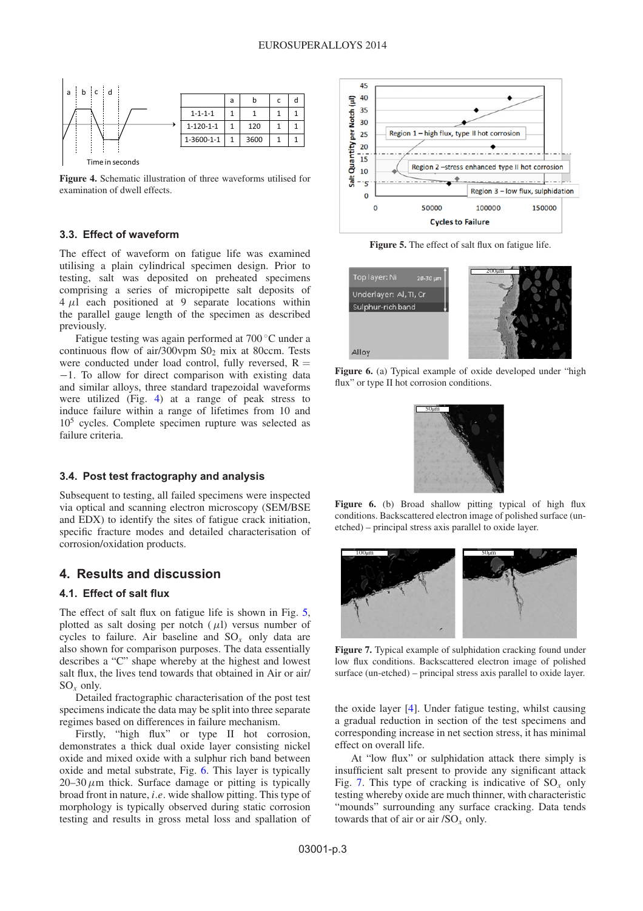<span id="page-2-0"></span>

**Figure 4.** Schematic illustration of three waveforms utilised for examination of dwell effects.

### **3.3. Effect of waveform**

The effect of waveform on fatigue life was examined utilising a plain cylindrical specimen design. Prior to testing, salt was deposited on preheated specimens comprising a series of micropipette salt deposits of  $4 \mu l$  each positioned at 9 separate locations within the parallel gauge length of the specimen as described previously.

Fatigue testing was again performed at 700 ◦C under a continuous flow of air/300vpm  $SO_2$  mix at 80ccm. Tests were conducted under load control, fully reversed,  $R =$ −1. To allow for direct comparison with existing data and similar alloys, three standard trapezoidal waveforms were utilized (Fig. [4\)](#page-2-0) at a range of peak stress to induce failure within a range of lifetimes from 10 and 105 cycles. Complete specimen rupture was selected as failure criteria.

#### **3.4. Post test fractography and analysis**

Subsequent to testing, all failed specimens were inspected via optical and scanning electron microscopy (SEM/BSE and EDX) to identify the sites of fatigue crack initiation, specific fracture modes and detailed characterisation of corrosion/oxidation products.

### **4. Results and discussion**

#### **4.1. Effect of salt flux**

The effect of salt flux on fatigue life is shown in Fig. [5,](#page-2-1) plotted as salt dosing per notch  $(\mu l)$  versus number of cycles to failure. Air baseline and SO*<sup>x</sup>* only data are also shown for comparison purposes. The data essentially describes a "C" shape whereby at the highest and lowest salt flux, the lives tend towards that obtained in Air or air/ SO*<sup>x</sup>* only.

Detailed fractographic characterisation of the post test specimens indicate the data may be split into three separate regimes based on differences in failure mechanism.

Firstly, "high flux" or type II hot corrosion, demonstrates a thick dual oxide layer consisting nickel oxide and mixed oxide with a sulphur rich band between oxide and metal substrate, Fig. [6.](#page-2-2) This layer is typically  $20-30 \mu m$  thick. Surface damage or pitting is typically broad front in nature, *i*.*e*. wide shallow pitting. This type of morphology is typically observed during static corrosion testing and results in gross metal loss and spallation of

<span id="page-2-1"></span>

**Figure 5.** The effect of salt flux on fatigue life.

<span id="page-2-2"></span>

**Figure 6.** (a) Typical example of oxide developed under "high flux" or type II hot corrosion conditions.



**Figure 6.** (b) Broad shallow pitting typical of high flux conditions. Backscattered electron image of polished surface (unetched) – principal stress axis parallel to oxide layer.

<span id="page-2-3"></span>

**Figure 7.** Typical example of sulphidation cracking found under low flux conditions. Backscattered electron image of polished surface (un-etched) – principal stress axis parallel to oxide layer.

the oxide layer [\[4\]](#page-5-3). Under fatigue testing, whilst causing a gradual reduction in section of the test specimens and corresponding increase in net section stress, it has minimal effect on overall life.

At "low flux" or sulphidation attack there simply is insufficient salt present to provide any significant attack Fig. [7.](#page-2-3) This type of cracking is indicative of SO*<sup>x</sup>* only testing whereby oxide are much thinner, with characteristic "mounds" surrounding any surface cracking. Data tends towards that of air or air /SO*<sup>x</sup>* only.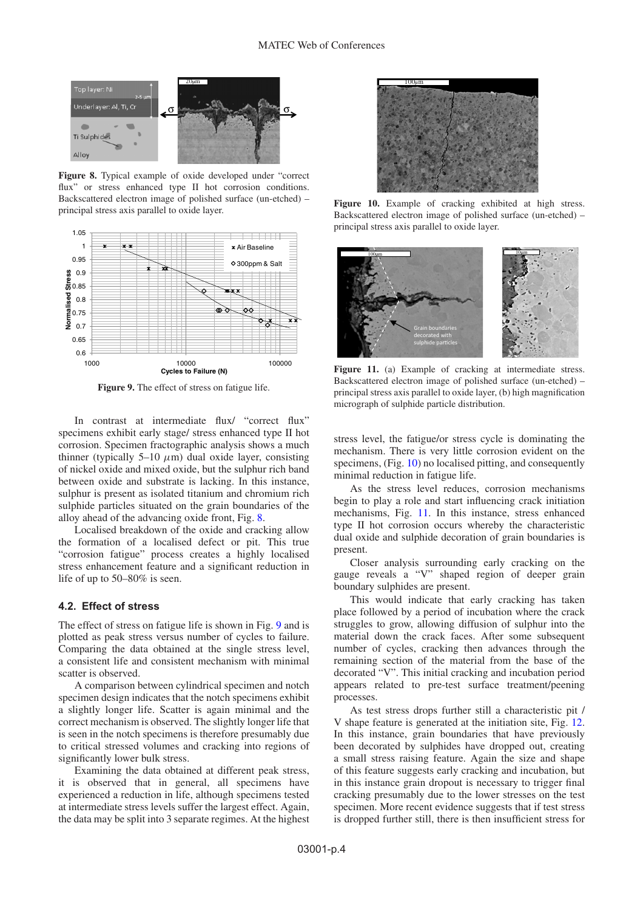<span id="page-3-0"></span>

**Figure 8.** Typical example of oxide developed under "correct flux" or stress enhanced type II hot corrosion conditions. Backscattered electron image of polished surface (un-etched) – principal stress axis parallel to oxide layer.

<span id="page-3-1"></span>

**Figure 9.** The effect of stress on fatigue life.

In contrast at intermediate flux/ "correct flux" specimens exhibit early stage/ stress enhanced type II hot corrosion. Specimen fractographic analysis shows a much thinner (typically 5–10  $\mu$ m) dual oxide layer, consisting of nickel oxide and mixed oxide, but the sulphur rich band between oxide and substrate is lacking. In this instance, sulphur is present as isolated titanium and chromium rich sulphide particles situated on the grain boundaries of the alloy ahead of the advancing oxide front, Fig. [8.](#page-3-0)

Localised breakdown of the oxide and cracking allow the formation of a localised defect or pit. This true "corrosion fatigue" process creates a highly localised stress enhancement feature and a significant reduction in life of up to 50–80% is seen.

#### **4.2. Effect of stress**

The effect of stress on fatigue life is shown in Fig. [9](#page-3-1) and is plotted as peak stress versus number of cycles to failure. Comparing the data obtained at the single stress level, a consistent life and consistent mechanism with minimal scatter is observed.

A comparison between cylindrical specimen and notch specimen design indicates that the notch specimens exhibit a slightly longer life. Scatter is again minimal and the correct mechanism is observed. The slightly longer life that is seen in the notch specimens is therefore presumably due to critical stressed volumes and cracking into regions of significantly lower bulk stress.

Examining the data obtained at different peak stress, it is observed that in general, all specimens have experienced a reduction in life, although specimens tested at intermediate stress levels suffer the largest effect. Again, the data may be split into 3 separate regimes. At the highest

<span id="page-3-2"></span>

**Figure 10.** Example of cracking exhibited at high stress. Backscattered electron image of polished surface (un-etched) – principal stress axis parallel to oxide layer.

<span id="page-3-3"></span>

Figure 11. (a) Example of cracking at intermediate stress. Backscattered electron image of polished surface (un-etched) – principal stress axis parallel to oxide layer, (b) high magnification micrograph of sulphide particle distribution.

stress level, the fatigue/or stress cycle is dominating the mechanism. There is very little corrosion evident on the specimens, (Fig. [10\)](#page-3-2) no localised pitting, and consequently minimal reduction in fatigue life.

As the stress level reduces, corrosion mechanisms begin to play a role and start influencing crack initiation mechanisms, Fig. [11.](#page-3-3) In this instance, stress enhanced type II hot corrosion occurs whereby the characteristic dual oxide and sulphide decoration of grain boundaries is present.

Closer analysis surrounding early cracking on the gauge reveals a "V" shaped region of deeper grain boundary sulphides are present.

This would indicate that early cracking has taken place followed by a period of incubation where the crack struggles to grow, allowing diffusion of sulphur into the material down the crack faces. After some subsequent number of cycles, cracking then advances through the remaining section of the material from the base of the decorated "V". This initial cracking and incubation period appears related to pre-test surface treatment/peening processes.

As test stress drops further still a characteristic pit / V shape feature is generated at the initiation site, Fig. [12.](#page-4-0) In this instance, grain boundaries that have previously been decorated by sulphides have dropped out, creating a small stress raising feature. Again the size and shape of this feature suggests early cracking and incubation, but in this instance grain dropout is necessary to trigger final cracking presumably due to the lower stresses on the test specimen. More recent evidence suggests that if test stress is dropped further still, there is then insufficient stress for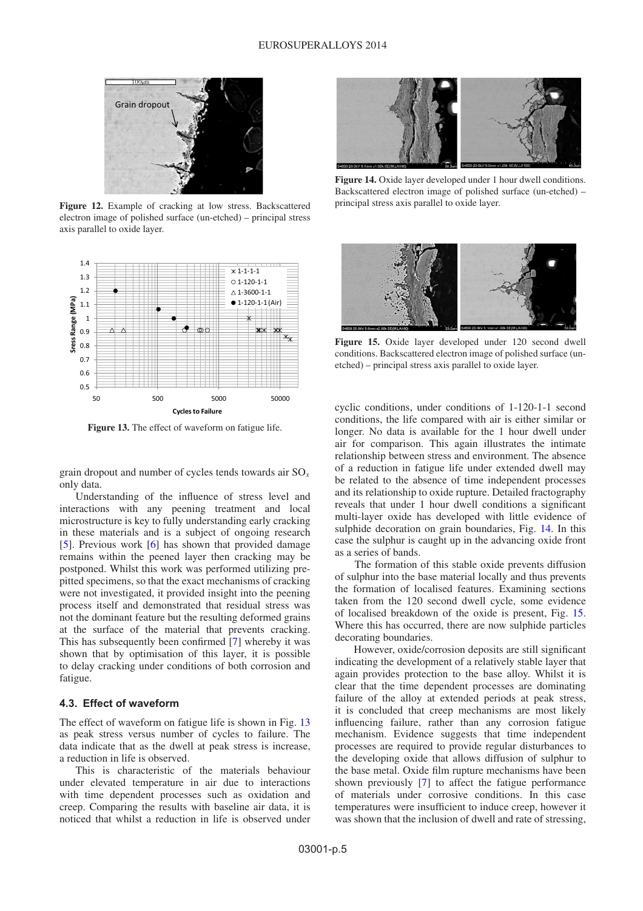<span id="page-4-0"></span>

**Figure 12.** Example of cracking at low stress. Backscattered electron image of polished surface (un-etched) – principal stress axis parallel to oxide layer.

<span id="page-4-1"></span>

**Figure 13.** The effect of waveform on fatigue life.

grain dropout and number of cycles tends towards air SO*<sup>x</sup>* only data.

Understanding of the influence of stress level and interactions with any peening treatment and local microstructure is key to fully understanding early cracking in these materials and is a subject of ongoing research [\[5](#page-5-4)]. Previous work [\[6](#page-5-5)] has shown that provided damage remains within the peened layer then cracking may be postponed. Whilst this work was performed utilizing prepitted specimens, so that the exact mechanisms of cracking were not investigated, it provided insight into the peening process itself and demonstrated that residual stress was not the dominant feature but the resulting deformed grains at the surface of the material that prevents cracking. This has subsequently been confirmed [\[7](#page-5-6)] whereby it was shown that by optimisation of this layer, it is possible to delay cracking under conditions of both corrosion and fatigue.

#### **4.3. Effect of waveform**

The effect of waveform on fatigue life is shown in Fig. [13](#page-4-1) as peak stress versus number of cycles to failure. The data indicate that as the dwell at peak stress is increase, a reduction in life is observed.

This is characteristic of the materials behaviour under elevated temperature in air due to interactions with time dependent processes such as oxidation and creep. Comparing the results with baseline air data, it is noticed that whilst a reduction in life is observed under

<span id="page-4-2"></span>

**Figure 14.** Oxide layer developed under 1 hour dwell conditions. Backscattered electron image of polished surface (un-etched) – principal stress axis parallel to oxide layer.

<span id="page-4-3"></span>

**Figure 15.** Oxide layer developed under 120 second dwell conditions. Backscattered electron image of polished surface (unetched) – principal stress axis parallel to oxide layer.

cyclic conditions, under conditions of 1-120-1-1 second conditions, the life compared with air is either similar or longer. No data is available for the 1 hour dwell under air for comparison. This again illustrates the intimate relationship between stress and environment. The absence of a reduction in fatigue life under extended dwell may be related to the absence of time independent processes and its relationship to oxide rupture. Detailed fractography reveals that under 1 hour dwell conditions a significant multi-layer oxide has developed with little evidence of sulphide decoration on grain boundaries, Fig. [14.](#page-4-2) In this case the sulphur is caught up in the advancing oxide front as a series of bands.

The formation of this stable oxide prevents diffusion of sulphur into the base material locally and thus prevents the formation of localised features. Examining sections taken from the 120 second dwell cycle, some evidence of localised breakdown of the oxide is present, Fig. [15.](#page-4-3) Where this has occurred, there are now sulphide particles decorating boundaries.

However, oxide/corrosion deposits are still significant indicating the development of a relatively stable layer that again provides protection to the base alloy. Whilst it is clear that the time dependent processes are dominating failure of the alloy at extended periods at peak stress, it is concluded that creep mechanisms are most likely influencing failure, rather than any corrosion fatigue mechanism. Evidence suggests that time independent processes are required to provide regular disturbances to the developing oxide that allows diffusion of sulphur to the base metal. Oxide film rupture mechanisms have been shown previously [\[7](#page-5-6)] to affect the fatigue performance of materials under corrosive conditions. In this case temperatures were insufficient to induce creep, however it was shown that the inclusion of dwell and rate of stressing,